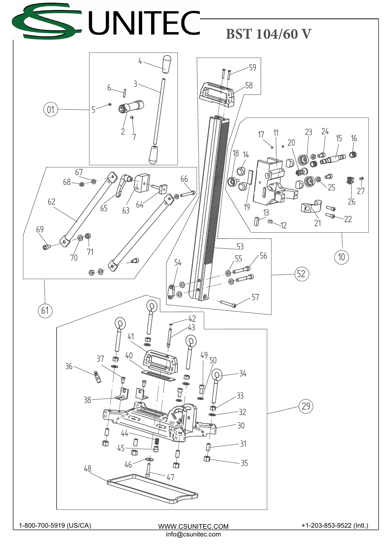